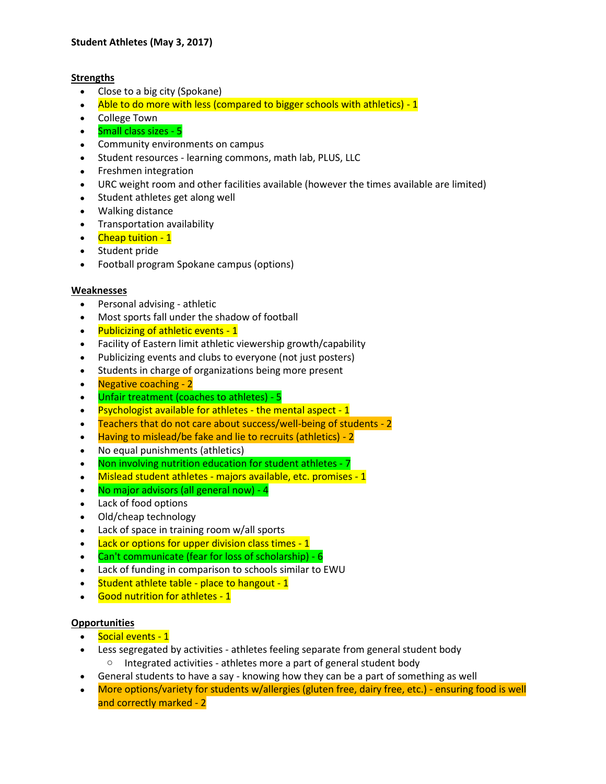### **Strengths**

- Close to a big city (Spokane)
- Able to do more with less (compared to bigger schools with athletics) 1
- College Town
- Small class sizes 5
- Community environments on campus
- Student resources learning commons, math lab, PLUS, LLC
- Freshmen integration
- URC weight room and other facilities available (however the times available are limited)
- Student athletes get along well
- Walking distance
- Transportation availability
- Cheap tuition 1
- Student pride
- Football program Spokane campus (options)

# **Weaknesses**

- Personal advising athletic
- Most sports fall under the shadow of football
- Publicizing of athletic events 1
- Facility of Eastern limit athletic viewership growth/capability
- Publicizing events and clubs to everyone (not just posters)
- Students in charge of organizations being more present
- Negative coaching 2
- Unfair treatment (coaches to athletes) 5
- Psychologist available for athletes the mental aspect 1
- Teachers that do not care about success/well-being of students 2
- Having to mislead/be fake and lie to recruits (athletics) 2
- No equal punishments (athletics)
- Non involving nutrition education for student athletes 7
- Mislead student athletes majors available, etc. promises 1
- No major advisors (all general now) 4
- Lack of food options
- Old/cheap technology
- Lack of space in training room w/all sports
- Lack or options for upper division class times 1
- Can't communicate (fear for loss of scholarship) 6
- Lack of funding in comparison to schools similar to EWU
- Student athlete table place to hangout 1
- Good nutrition for athletes 1

# **Opportunities**

- Social events 1
- Less segregated by activities athletes feeling separate from general student body o Integrated activities - athletes more a part of general student body
- General students to have a say knowing how they can be a part of something as well
- More options/variety for students w/allergies (gluten free, dairy free, etc.) ensuring food is well and correctly marked - 2